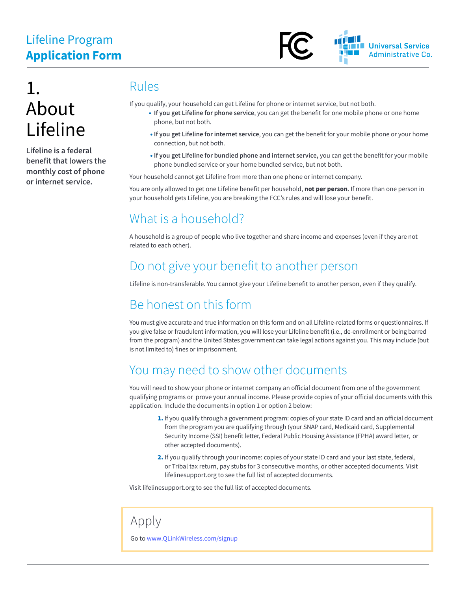# Lifeline Program **Application Form**



# 1. About Lifeline

**Lifeline is a federal benefit that lowers the monthly cost of phone or internet service.** 

#### Rules

If you qualify, your household can get Lifeline for phone or internet service, but not both.

- **If you get Lifeline for phone service**, you can get the benefit for one mobile phone or one home phone, but not both.
- **If you get Lifeline for internet service**, you can get the benefit for your mobile phone or your home connection, but not both.
- **If you get Lifeline for bundled phone and internet service,** you can get the benefit for your mobile phone bundled service or your home bundled service, but not both.

Your household cannot get Lifeline from more than one phone or internet company.

You are only allowed to get one Lifeline benefit per household, **not per person**. If more than one person in your household gets Lifeline, you are breaking the FCC's rules and will lose your benefit.

#### What is a household?

A household is a group of people who live together and share income and expenses (even if they are not related to each other).

#### Do not give your benefit to another person

Lifeline is non-transferable. You cannot give your Lifeline benefit to another person, even if they qualify.

## Be honest on this form

You must give accurate and true information on this form and on all Lifeline-related forms or questionnaires. If you give false or fraudulent information, you will lose your Lifeline benefit (i.e., de-enrollment or being barred from the program) and the United States government can take legal actions against you. This may include (but is not limited to) fines or imprisonment.

## You may need to show other documents

You will need to show your phone or internet company an official document from one of the government qualifying programs or prove your annual income. Please provide copies of your official documents with this application. Include the documents in option 1 or option 2 below:

- 1. If you qualify through a government program: copies of your state ID card and an official document from the program you are qualifying through (your SNAP card, Medicaid card, Supplemental Security Income (SSI) benefit letter, Federal Public Housing Assistance (FPHA) award letter, or other accepted documents).
- 2. If you qualify through your income: copies of your state ID card and your last state, federal, or Tribal tax return, pay stubs for 3 consecutive months, or other accepted documents. Visit lifelinesupport.org to see the full list of accepted documents.

Visit lifelinesupport.org to see the full list of accepted documents.

#### Apply

Go to [www.QLinkWireless.com/signup](https://qlinkwireless.com/signup)